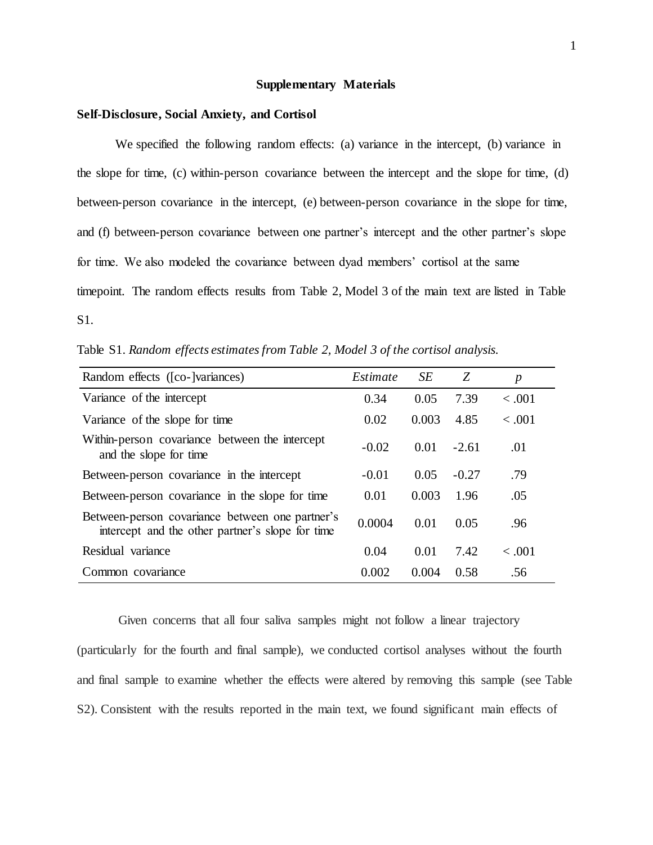## **Supplementary Materials**

#### **Self-Disclosure, Social Anxiety, and Cortisol**

We specified the following random effects: (a) variance in the intercept, (b) variance in the slope for time, (c) within-person covariance between the intercept and the slope for time, (d) between-person covariance in the intercept, (e) between-person covariance in the slope for time, and (f) between-person covariance between one partner's intercept and the other partner's slope for time. We also modeled the covariance between dyad members' cortisol at the same timepoint. The random effects results from Table 2, Model 3 of the main text are listed in Table S1.

Table S1. *Random effects estimates from Table 2, Model 3 of the cortisol analysis.* 

| Random effects ([co-]variances)                                                                     | Estimate | SE    | Z       | $\boldsymbol{p}$ |
|-----------------------------------------------------------------------------------------------------|----------|-------|---------|------------------|
| Variance of the intercept                                                                           | 0.34     | 0.05  | 7.39    | $-.001$          |
| Variance of the slope for time                                                                      | 0.02     | 0.003 | 4.85    | $-.001$          |
| Within-person covariance between the intercept<br>and the slope for time                            | $-0.02$  | 0.01  | $-2.61$ | .01              |
| Between-person covariance in the intercept                                                          | $-0.01$  | 0.05  | $-0.27$ | .79              |
| Between-person covariance in the slope for time                                                     | 0.01     | 0.003 | 1.96    | .05              |
| Between-person covariance between one partner's<br>intercept and the other partner's slope for time | 0.0004   | 0.01  | 0.05    | .96              |
| Residual variance                                                                                   | 0.04     | 0.01  | 7.42    | $-.001$          |
| Common covariance                                                                                   | 0.002    | 0.004 | 0.58    | .56              |

Given concerns that all four saliva samples might not follow a linear trajectory (particularly for the fourth and final sample), we conducted cortisol analyses without the fourth and final sample to examine whether the effects were altered by removing this sample (see Table S2). Consistent with the results reported in the main text, we found significant main effects of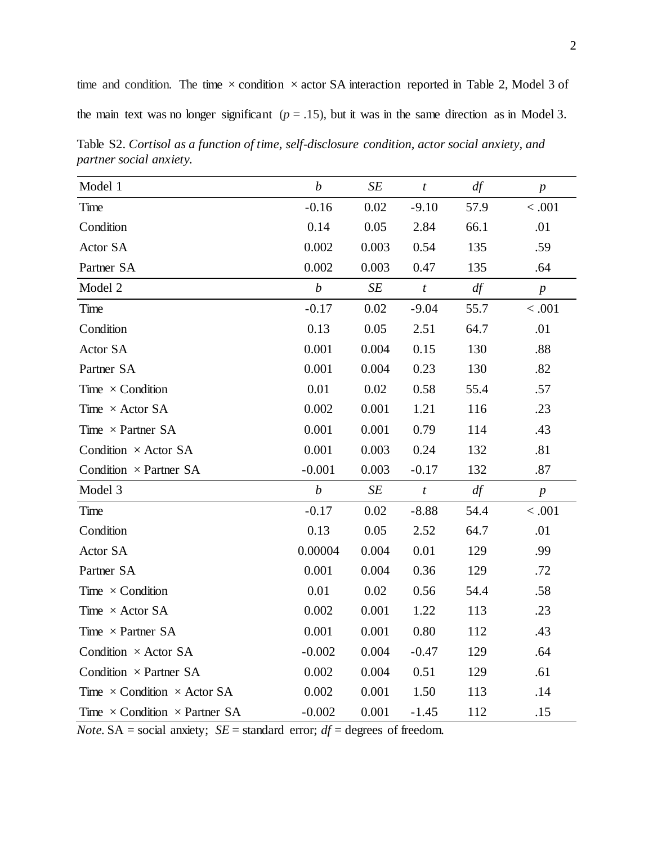time and condition. The time  $\times$  condition  $\times$  actor SA interaction reported in Table 2, Model 3 of the main text was no longer significant ( $p = .15$ ), but it was in the same direction as in Model 3.

Table S2. *Cortisol as a function of time, self-disclosure condition, actor social anxiety, and partner social anxiety.* 

| Model 1                                     | $\boldsymbol{b}$ | SE    | $\boldsymbol{t}$ | df   | $\boldsymbol{p}$ |
|---------------------------------------------|------------------|-------|------------------|------|------------------|
| Time                                        | $-0.16$          | 0.02  | $-9.10$          | 57.9 | < .001           |
| Condition                                   | 0.14             | 0.05  | 2.84             | 66.1 | .01              |
| Actor SA                                    | 0.002            | 0.003 | 0.54             | 135  | .59              |
| Partner SA                                  | 0.002            | 0.003 | 0.47             | 135  | .64              |
| Model 2                                     | $\boldsymbol{b}$ | SE    | $\boldsymbol{t}$ | df   | $\boldsymbol{p}$ |
| Time                                        | $-0.17$          | 0.02  | $-9.04$          | 55.7 | < .001           |
| Condition                                   | 0.13             | 0.05  | 2.51             | 64.7 | .01              |
| Actor SA                                    | 0.001            | 0.004 | 0.15             | 130  | .88              |
| Partner SA                                  | 0.001            | 0.004 | 0.23             | 130  | .82              |
| Time $\times$ Condition                     | 0.01             | 0.02  | 0.58             | 55.4 | .57              |
| Time $\times$ Actor SA                      | 0.002            | 0.001 | 1.21             | 116  | .23              |
| Time $\times$ Partner SA                    | 0.001            | 0.001 | 0.79             | 114  | .43              |
| Condition $\times$ Actor SA                 | 0.001            | 0.003 | 0.24             | 132  | .81              |
| Condition $\times$ Partner SA               | $-0.001$         | 0.003 | $-0.17$          | 132  | .87              |
| Model 3                                     | $\boldsymbol{b}$ | SE    | $\boldsymbol{t}$ | df   | $\boldsymbol{p}$ |
| Time                                        | $-0.17$          | 0.02  | $-8.88$          | 54.4 | < .001           |
| Condition                                   | 0.13             | 0.05  | 2.52             | 64.7 | .01              |
| Actor SA                                    | 0.00004          | 0.004 | 0.01             | 129  | .99              |
| Partner SA                                  | 0.001            | 0.004 | 0.36             | 129  | .72              |
| Time $\times$ Condition                     | 0.01             | 0.02  | 0.56             | 54.4 | .58              |
| Time $\times$ Actor SA                      | 0.002            | 0.001 | 1.22             | 113  | .23              |
| Time $\times$ Partner SA                    | 0.001            | 0.001 | 0.80             | 112  | .43              |
| Condition $\times$ Actor SA                 | $-0.002$         | 0.004 | $-0.47$          | 129  | .64              |
| Condition $\times$ Partner SA               | 0.002            | 0.004 | 0.51             | 129  | .61              |
| Time $\times$ Condition $\times$ Actor SA   | 0.002            | 0.001 | 1.50             | 113  | .14              |
| Time $\times$ Condition $\times$ Partner SA | $-0.002$         | 0.001 | $-1.45$          | 112  | .15              |

*Note.*  $SA = social$  anxiety;  $SE = standard$  error;  $df = degrees$  of freedom.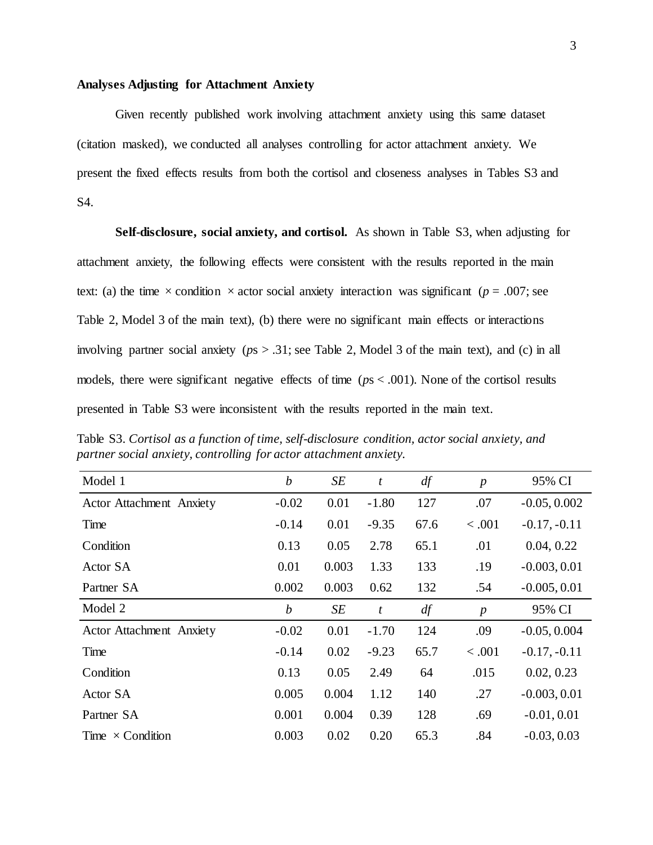## **Analyses Adjusting for Attachment Anxiety**

Given recently published work involving attachment anxiety using this same dataset (citation masked), we conducted all analyses controlling for actor attachment anxiety. We present the fixed effects results from both the cortisol and closeness analyses in Tables S3 and S4.

**Self-disclosure, social anxiety, and cortisol.** As shown in Table S3, when adjusting for attachment anxiety, the following effects were consistent with the results reported in the main text: (a) the time  $\times$  condition  $\times$  actor social anxiety interaction was significant ( $p = .007$ ; see Table 2, Model 3 of the main text), (b) there were no significant main effects or interactions involving partner social anxiety (*p*s > .31; see Table 2, Model 3 of the main text), and (c) in all models, there were significant negative effects of time (*p*s < .001). None of the cortisol results presented in Table S3 were inconsistent with the results reported in the main text.

Table S3. *Cortisol as a function of time, self-disclosure condition, actor social anxiety, and partner social anxiety, controlling for actor attachment anxiety.*

| Model 1                         | $\boldsymbol{b}$ | SE    | $\boldsymbol{t}$ | df   | $\boldsymbol{p}$ | 95% CI         |
|---------------------------------|------------------|-------|------------------|------|------------------|----------------|
| <b>Actor Attachment Anxiety</b> | $-0.02$          | 0.01  | $-1.80$          | 127  | .07              | $-0.05, 0.002$ |
| Time                            | $-0.14$          | 0.01  | $-9.35$          | 67.6 | < .001           | $-0.17, -0.11$ |
| Condition                       | 0.13             | 0.05  | 2.78             | 65.1 | .01              | 0.04, 0.22     |
| Actor SA                        | 0.01             | 0.003 | 1.33             | 133  | .19              | $-0.003, 0.01$ |
| Partner SA                      | 0.002            | 0.003 | 0.62             | 132  | .54              | $-0.005, 0.01$ |
| Model 2                         | $\boldsymbol{b}$ | SE    | $\boldsymbol{t}$ | df   | $\boldsymbol{p}$ | 95% CI         |
| <b>Actor Attachment Anxiety</b> | $-0.02$          | 0.01  | $-1.70$          | 124  | .09              | $-0.05, 0.004$ |
| Time                            | $-0.14$          | 0.02  | $-9.23$          | 65.7 | < .001           | $-0.17, -0.11$ |
| Condition                       | 0.13             | 0.05  | 2.49             | 64   | .015             | 0.02, 0.23     |
| Actor SA                        | 0.005            | 0.004 | 1.12             | 140  | .27              | $-0.003, 0.01$ |
| Partner SA                      | 0.001            | 0.004 | 0.39             | 128  | .69              | $-0.01, 0.01$  |
| Time $\times$ Condition         | 0.003            | 0.02  | 0.20             | 65.3 | .84              | $-0.03, 0.03$  |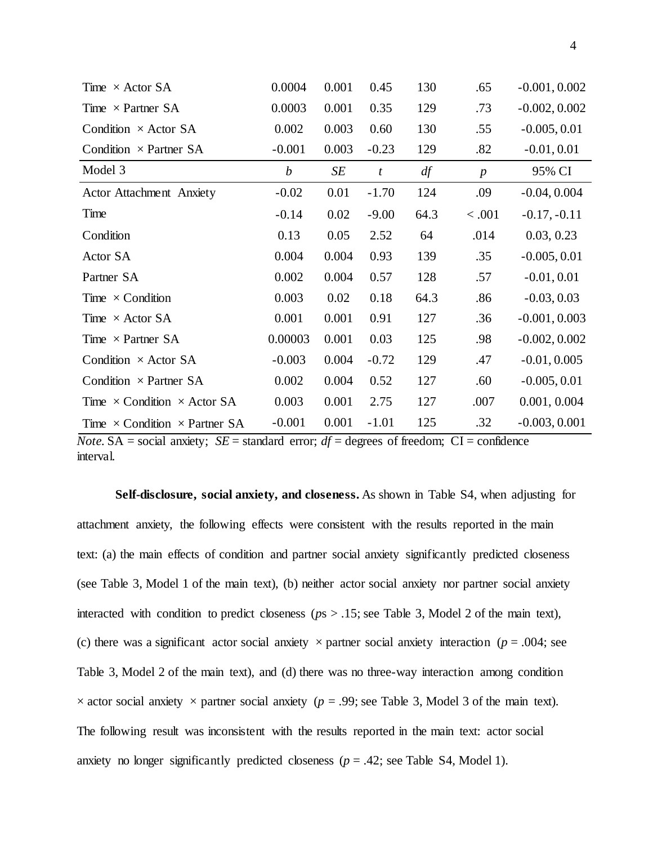| Time $\times$ Actor SA                      | 0.0004           | 0.001 | 0.45    | 130  | .65              | $-0.001, 0.002$ |
|---------------------------------------------|------------------|-------|---------|------|------------------|-----------------|
| Time $\times$ Partner SA                    | 0.0003           | 0.001 | 0.35    | 129  | .73              | $-0.002, 0.002$ |
| Condition $\times$ Actor SA                 | 0.002            | 0.003 | 0.60    | 130  | .55              | $-0.005, 0.01$  |
| Condition $\times$ Partner SA               | $-0.001$         | 0.003 | $-0.23$ | 129  | .82              | $-0.01, 0.01$   |
| Model 3                                     | $\boldsymbol{b}$ | SE    | t       | df   | $\boldsymbol{p}$ | 95% CI          |
| <b>Actor Attachment Anxiety</b>             | $-0.02$          | 0.01  | $-1.70$ | 124  | .09              | $-0.04, 0.004$  |
| Time                                        | $-0.14$          | 0.02  | $-9.00$ | 64.3 | < .001           | $-0.17, -0.11$  |
| Condition                                   | 0.13             | 0.05  | 2.52    | 64   | .014             | 0.03, 0.23      |
| Actor SA                                    | 0.004            | 0.004 | 0.93    | 139  | .35              | $-0.005, 0.01$  |
| Partner SA                                  | 0.002            | 0.004 | 0.57    | 128  | .57              | $-0.01, 0.01$   |
| Time $\times$ Condition                     | 0.003            | 0.02  | 0.18    | 64.3 | .86              | $-0.03, 0.03$   |
| Time $\times$ Actor SA                      | 0.001            | 0.001 | 0.91    | 127  | .36              | $-0.001, 0.003$ |
| Time $\times$ Partner SA                    | 0.00003          | 0.001 | 0.03    | 125  | .98              | $-0.002, 0.002$ |
| Condition $\times$ Actor SA                 | $-0.003$         | 0.004 | $-0.72$ | 129  | .47              | $-0.01, 0.005$  |
| Condition $\times$ Partner SA               | 0.002            | 0.004 | 0.52    | 127  | .60              | $-0.005, 0.01$  |
| Time $\times$ Condition $\times$ Actor SA   | 0.003            | 0.001 | 2.75    | 127  | .007             | 0.001, 0.004    |
| Time $\times$ Condition $\times$ Partner SA | $-0.001$         | 0.001 | $-1.01$ | 125  | .32              | $-0.003, 0.001$ |

*Note.* SA = social anxiety;  $SE =$  standard error;  $df =$  degrees of freedom;  $CI =$  confidence interval.

**Self-disclosure, social anxiety, and closeness.** As shown in Table S4, when adjusting for attachment anxiety, the following effects were consistent with the results reported in the main text: (a) the main effects of condition and partner social anxiety significantly predicted closeness (see Table 3, Model 1 of the main text), (b) neither actor social anxiety nor partner social anxiety interacted with condition to predict closeness (*p*s > .15; see Table 3, Model 2 of the main text), (c) there was a significant actor social anxiety  $\times$  partner social anxiety interaction ( $p = .004$ ; see Table 3, Model 2 of the main text), and (d) there was no three-way interaction among condition  $\times$  actor social anxiety  $\times$  partner social anxiety ( $p = .99$ ; see Table 3, Model 3 of the main text). The following result was inconsistent with the results reported in the main text: actor social anxiety no longer significantly predicted closeness  $(p = .42; \text{ see Table S4}, \text{Model 1}).$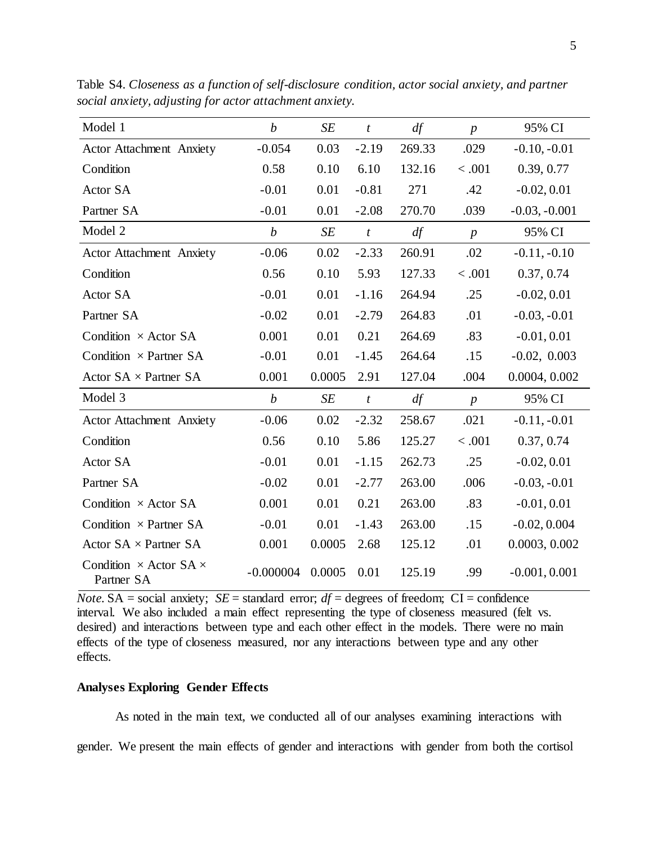| Model 1                                            | $\boldsymbol{b}$ | SE        | $\boldsymbol{t}$ | df     | $\boldsymbol{p}$ | 95% CI          |
|----------------------------------------------------|------------------|-----------|------------------|--------|------------------|-----------------|
| <b>Actor Attachment Anxiety</b>                    | $-0.054$         | 0.03      | $-2.19$          | 269.33 | .029             | $-0.10, -0.01$  |
| Condition                                          | 0.58             | 0.10      | 6.10             | 132.16 | < .001           | 0.39, 0.77      |
| Actor SA                                           | $-0.01$          | 0.01      | $-0.81$          | 271    | .42              | $-0.02, 0.01$   |
| Partner SA                                         | $-0.01$          | 0.01      | $-2.08$          | 270.70 | .039             | $-0.03, -0.001$ |
| Model 2                                            | $\boldsymbol{b}$ | SE        | $\boldsymbol{t}$ | df     | $\boldsymbol{p}$ | 95% CI          |
| Actor Attachment Anxiety                           | $-0.06$          | 0.02      | $-2.33$          | 260.91 | .02              | $-0.11, -0.10$  |
| Condition                                          | 0.56             | 0.10      | 5.93             | 127.33 | < .001           | 0.37, 0.74      |
| Actor SA                                           | $-0.01$          | 0.01      | $-1.16$          | 264.94 | .25              | $-0.02, 0.01$   |
| Partner SA                                         | $-0.02$          | 0.01      | $-2.79$          | 264.83 | .01              | $-0.03, -0.01$  |
| Condition $\times$ Actor SA                        | 0.001            | 0.01      | 0.21             | 264.69 | .83              | $-0.01, 0.01$   |
| Condition $\times$ Partner SA                      | $-0.01$          | 0.01      | $-1.45$          | 264.64 | .15              | $-0.02, 0.003$  |
| Actor $SA \times$ Partner $SA$                     | 0.001            | 0.0005    | 2.91             | 127.04 | .004             | 0.0004, 0.002   |
| Model 3                                            | $\boldsymbol{b}$ | $\cal SE$ | $\boldsymbol{t}$ | df     | $\boldsymbol{p}$ | 95% CI          |
| <b>Actor Attachment Anxiety</b>                    | $-0.06$          | 0.02      | $-2.32$          | 258.67 | .021             | $-0.11, -0.01$  |
| Condition                                          | 0.56             | 0.10      | 5.86             | 125.27 | < .001           | 0.37, 0.74      |
| Actor SA                                           | $-0.01$          | 0.01      | $-1.15$          | 262.73 | .25              | $-0.02, 0.01$   |
| Partner SA                                         | $-0.02$          | 0.01      | $-2.77$          | 263.00 | .006             | $-0.03, -0.01$  |
| Condition $\times$ Actor SA                        | 0.001            | 0.01      | 0.21             | 263.00 | .83              | $-0.01, 0.01$   |
| Condition $\times$ Partner SA                      | $-0.01$          | 0.01      | $-1.43$          | 263.00 | .15              | $-0.02, 0.004$  |
| Actor $SA \times$ Partner $SA$                     | 0.001            | 0.0005    | 2.68             | 125.12 | .01              | 0.0003, 0.002   |
| Condition $\times$ Actor SA $\times$<br>Partner SA | $-0.000004$      | 0.0005    | 0.01             | 125.19 | .99              | $-0.001, 0.001$ |

Table S4. *Closeness as a function of self-disclosure condition, actor social anxiety, and partner social anxiety, adjusting for actor attachment anxiety.* 

*Note.* SA = social anxiety; *SE* = standard error;  $df =$  degrees of freedom; CI = confidence interval. We also included a main effect representing the type of closeness measured (felt vs. desired) and interactions between type and each other effect in the models. There were no main effects of the type of closeness measured, nor any interactions between type and any other effects.

## **Analyses Exploring Gender Effects**

As noted in the main text, we conducted all of our analyses examining interactions with gender. We present the main effects of gender and interactions with gender from both the cortisol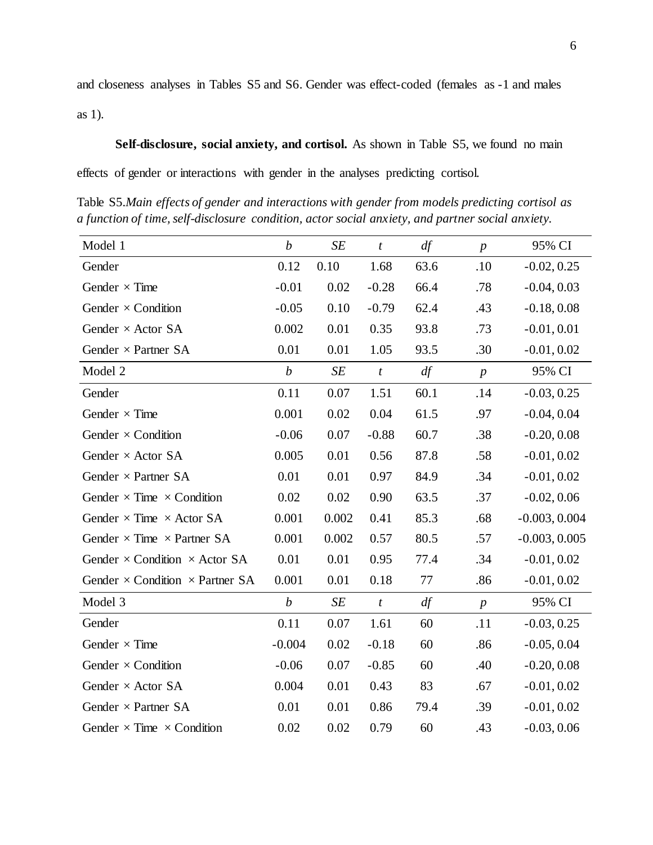and closeness analyses in Tables S5 and S6. Gender was effect-coded (females as -1 and males as 1).

**Self-disclosure, social anxiety, and cortisol.** As shown in Table S5, we found no main effects of gender or interactions with gender in the analyses predicting cortisol.

Table S5.*Main effects of gender and interactions with gender from models predicting cortisol as a function of time,self-disclosure condition, actor social anxiety, and partner social anxiety.*

| Model 1                                       | $\boldsymbol{b}$ | SE    | $\boldsymbol{t}$ | df      | $\boldsymbol{p}$ | 95% CI          |
|-----------------------------------------------|------------------|-------|------------------|---------|------------------|-----------------|
| Gender                                        | 0.12             | 0.10  | 1.68             | 63.6    | .10              | $-0.02, 0.25$   |
| Gender $\times$ Time                          | $-0.01$          | 0.02  | $-0.28$          | 66.4    | .78              | $-0.04, 0.03$   |
| Gender $\times$ Condition                     | $-0.05$          | 0.10  | $-0.79$          | 62.4    | .43              | $-0.18, 0.08$   |
| Gender $\times$ Actor SA                      | 0.002            | 0.01  | 0.35             | 93.8    | .73              | $-0.01, 0.01$   |
| Gender $\times$ Partner SA                    | 0.01             | 0.01  | 1.05             | 93.5    | .30              | $-0.01, 0.02$   |
| Model 2                                       | $\boldsymbol{b}$ | SE    | $\boldsymbol{t}$ | df      | $\boldsymbol{p}$ | 95% CI          |
| Gender                                        | 0.11             | 0.07  | 1.51             | 60.1    | .14              | $-0.03, 0.25$   |
| Gender $\times$ Time                          | 0.001            | 0.02  | 0.04             | 61.5    | .97              | $-0.04, 0.04$   |
| Gender $\times$ Condition                     | $-0.06$          | 0.07  | $-0.88$          | 60.7    | .38              | $-0.20, 0.08$   |
| Gender $\times$ Actor SA                      | 0.005            | 0.01  | 0.56             | 87.8    | .58              | $-0.01, 0.02$   |
| Gender $\times$ Partner SA                    | 0.01             | 0.01  | 0.97             | 84.9    | .34              | $-0.01, 0.02$   |
| Gender $\times$ Time $\times$ Condition       | 0.02             | 0.02  | 0.90             | 63.5    | .37              | $-0.02, 0.06$   |
| Gender $\times$ Time $\times$ Actor SA        | 0.001            | 0.002 | 0.41             | 85.3    | .68              | $-0.003, 0.004$ |
| Gender $\times$ Time $\times$ Partner SA      | 0.001            | 0.002 | 0.57             | 80.5    | .57              | $-0.003, 0.005$ |
| Gender $\times$ Condition $\times$ Actor SA   | 0.01             | 0.01  | 0.95             | 77.4    | .34              | $-0.01, 0.02$   |
| Gender $\times$ Condition $\times$ Partner SA | 0.001            | 0.01  | 0.18             | $77 \,$ | .86              | $-0.01, 0.02$   |
| Model 3                                       | $\boldsymbol{b}$ | SE    | $\boldsymbol{t}$ | df      | $\boldsymbol{p}$ | 95% CI          |
| Gender                                        | 0.11             | 0.07  | 1.61             | 60      | .11              | $-0.03, 0.25$   |
| Gender $\times$ Time                          | $-0.004$         | 0.02  | $-0.18$          | 60      | .86              | $-0.05, 0.04$   |
| Gender $\times$ Condition                     | $-0.06$          | 0.07  | $-0.85$          | 60      | .40              | $-0.20, 0.08$   |
| Gender $\times$ Actor SA                      | 0.004            | 0.01  | 0.43             | 83      | .67              | $-0.01, 0.02$   |
| Gender $\times$ Partner SA                    | 0.01             | 0.01  | 0.86             | 79.4    | .39              | $-0.01, 0.02$   |
| Gender $\times$ Time $\times$ Condition       | 0.02             | 0.02  | 0.79             | 60      | .43              | $-0.03, 0.06$   |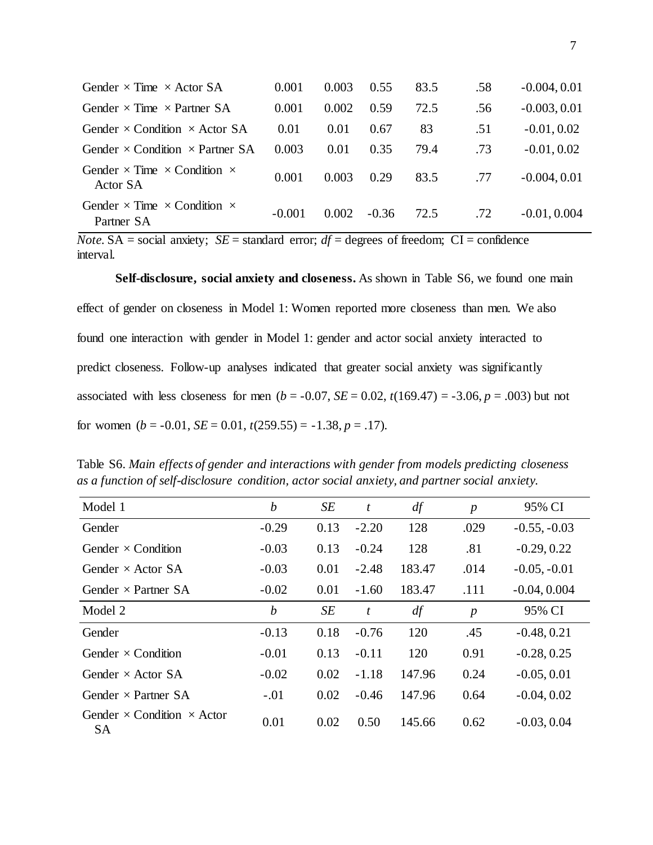| Gender $\times$ Time $\times$ Actor SA                         | 0.001    | 0.003 | 0.55    | 83.5 | .58 | $-0.004, 0.01$ |
|----------------------------------------------------------------|----------|-------|---------|------|-----|----------------|
| Gender $\times$ Time $\times$ Partner SA                       | 0.001    | 0.002 | 0.59    | 72.5 | .56 | $-0.003, 0.01$ |
| Gender $\times$ Condition $\times$ Actor SA                    | 0.01     | 0.01  | 0.67    | 83   | .51 | $-0.01, 0.02$  |
| Gender $\times$ Condition $\times$ Partner SA                  | 0.003    | 0.01  | 0.35    | 79.4 | .73 | $-0.01, 0.02$  |
| Gender $\times$ Time $\times$ Condition $\times$<br>Actor SA   | 0.001    | 0.003 | 0.29    | 83.5 | .77 | $-0.004, 0.01$ |
| Gender $\times$ Time $\times$ Condition $\times$<br>Partner SA | $-0.001$ | 0.002 | $-0.36$ | 72.5 | .72 | $-0.01, 0.004$ |

*Note.* SA = social anxiety;  $SE =$  standard error;  $df =$  degrees of freedom;  $CI =$  confidence interval.

**Self-disclosure, social anxiety and closeness.** As shown in Table S6, we found one main effect of gender on closeness in Model 1: Women reported more closeness than men. We also found one interaction with gender in Model 1: gender and actor social anxiety interacted to predict closeness. Follow-up analyses indicated that greater social anxiety was significantly associated with less closeness for men ( $b = -0.07$ ,  $SE = 0.02$ ,  $t(169.47) = -3.06$ ,  $p = .003$ ) but not for women  $(b = -0.01, SE = 0.01, t(259.55) = -1.38, p = .17)$ .

Table S6. *Main effects of gender and interactions with gender from models predicting closeness as a function of self-disclosure condition, actor social anxiety, and partner social anxiety.*

| Model 1                                               | $\boldsymbol{b}$ | SE   | t       | df     | $\boldsymbol{p}$ | 95% CI         |
|-------------------------------------------------------|------------------|------|---------|--------|------------------|----------------|
| Gender                                                | $-0.29$          | 0.13 | $-2.20$ | 128    | .029             | $-0.55, -0.03$ |
| Gender $\times$ Condition                             | $-0.03$          | 0.13 | $-0.24$ | 128    | .81              | $-0.29, 0.22$  |
| Gender $\times$ Actor SA                              | $-0.03$          | 0.01 | $-2.48$ | 183.47 | .014             | $-0.05, -0.01$ |
| Gender $\times$ Partner SA                            | $-0.02$          | 0.01 | $-1.60$ | 183.47 | .111             | $-0.04, 0.004$ |
| Model 2                                               | $\boldsymbol{b}$ | SE   | t       | df     | $\boldsymbol{p}$ | 95% CI         |
| Gender                                                | $-0.13$          | 0.18 | $-0.76$ | 120    | .45              | $-0.48, 0.21$  |
| Gender $\times$ Condition                             | $-0.01$          | 0.13 | $-0.11$ | 120    | 0.91             | $-0.28, 0.25$  |
| Gender $\times$ Actor SA                              | $-0.02$          | 0.02 | $-1.18$ | 147.96 | 0.24             | $-0.05, 0.01$  |
| Gender $\times$ Partner SA                            | $-.01$           | 0.02 | $-0.46$ | 147.96 | 0.64             | $-0.04, 0.02$  |
| Gender $\times$ Condition $\times$ Actor<br><b>SA</b> | 0.01             | 0.02 | 0.50    | 145.66 | 0.62             | $-0.03, 0.04$  |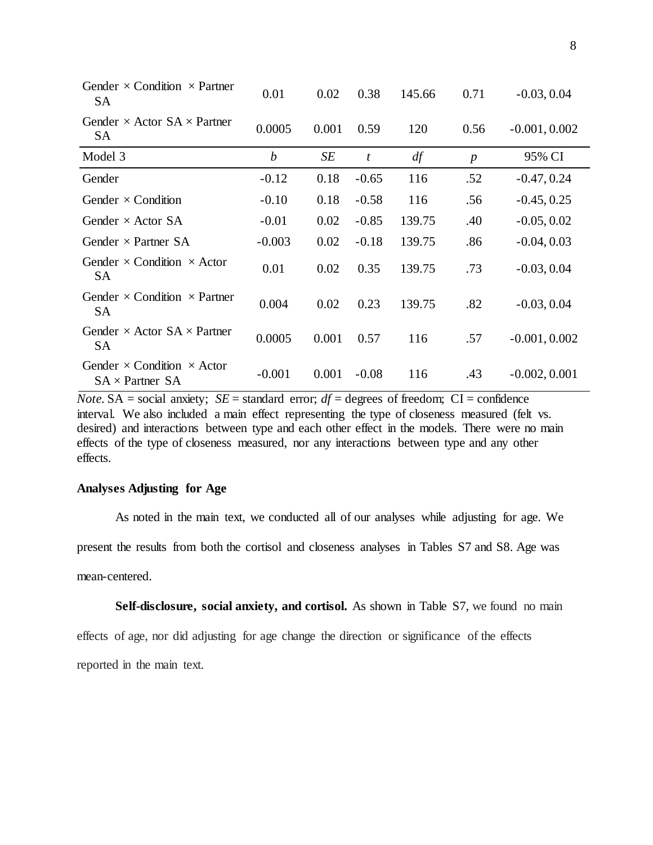| Gender $\times$ Condition $\times$ Partner<br><b>SA</b>            | 0.01             | 0.02  | 0.38             | 145.66 | 0.71             | $-0.03, 0.04$   |
|--------------------------------------------------------------------|------------------|-------|------------------|--------|------------------|-----------------|
| Gender $\times$ Actor SA $\times$ Partner<br>SA                    | 0.0005           | 0.001 | 0.59             | 120    | 0.56             | $-0.001, 0.002$ |
| Model 3                                                            | $\boldsymbol{b}$ | SE    | $\boldsymbol{t}$ | df     | $\boldsymbol{p}$ | 95% CI          |
| Gender                                                             | $-0.12$          | 0.18  | $-0.65$          | 116    | .52              | $-0.47, 0.24$   |
| Gender $\times$ Condition                                          | $-0.10$          | 0.18  | $-0.58$          | 116    | .56              | $-0.45, 0.25$   |
| Gender $\times$ Actor SA                                           | $-0.01$          | 0.02  | $-0.85$          | 139.75 | .40              | $-0.05, 0.02$   |
| Gender $\times$ Partner SA                                         | $-0.003$         | 0.02  | $-0.18$          | 139.75 | .86              | $-0.04, 0.03$   |
| Gender $\times$ Condition $\times$ Actor<br><b>SA</b>              | 0.01             | 0.02  | 0.35             | 139.75 | .73              | $-0.03, 0.04$   |
| Gender $\times$ Condition $\times$ Partner<br><b>SA</b>            | 0.004            | 0.02  | 0.23             | 139.75 | .82              | $-0.03, 0.04$   |
| Gender $\times$ Actor SA $\times$ Partner<br><b>SA</b>             | 0.0005           | 0.001 | 0.57             | 116    | .57              | $-0.001, 0.002$ |
| Gender $\times$ Condition $\times$ Actor<br>$SA \times$ Partner SA | $-0.001$         | 0.001 | $-0.08$          | 116    | .43              | $-0.002, 0.001$ |

*Note.* SA = social anxiety; *SE* = standard error;  $df =$  degrees of freedom; CI = confidence interval. We also included a main effect representing the type of closeness measured (felt vs. desired) and interactions between type and each other effect in the models. There were no main effects of the type of closeness measured, nor any interactions between type and any other effects.

# **Analyses Adjusting for Age**

As noted in the main text, we conducted all of our analyses while adjusting for age. We

present the results from both the cortisol and closeness analyses in Tables S7 and S8. Age was

mean-centered.

**Self-disclosure, social anxiety, and cortisol.** As shown in Table S7, we found no main

effects of age, nor did adjusting for age change the direction or significance of the effects reported in the main text.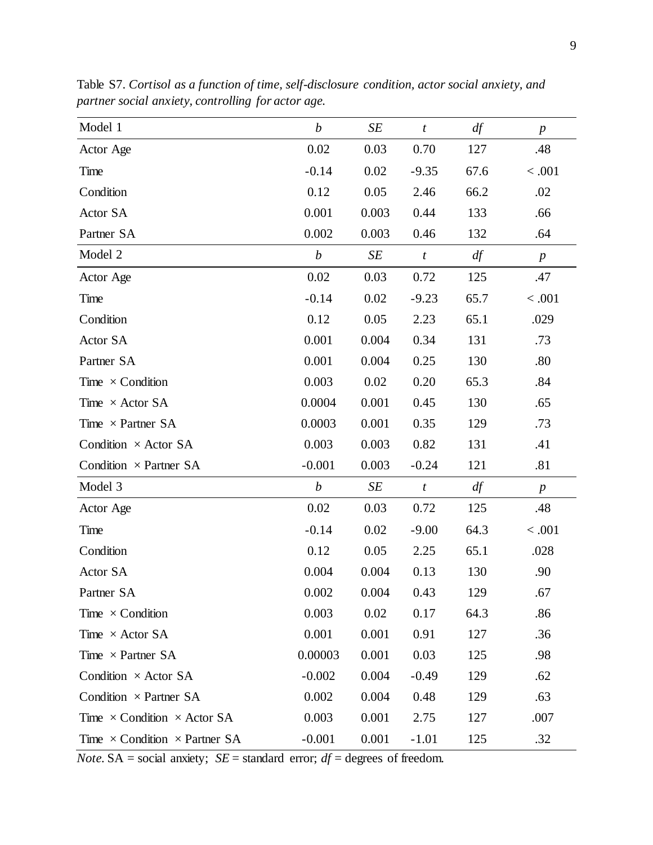| Model 1                                     | $\boldsymbol{b}$ | SE    | $\boldsymbol{t}$ | df   | $\boldsymbol{p}$ |
|---------------------------------------------|------------------|-------|------------------|------|------------------|
| Actor Age                                   | $0.02\,$         | 0.03  | 0.70             | 127  | .48              |
| Time                                        | $-0.14$          | 0.02  | $-9.35$          | 67.6 | < .001           |
| Condition                                   | 0.12             | 0.05  | 2.46             | 66.2 | .02              |
| Actor SA                                    | 0.001            | 0.003 | 0.44             | 133  | .66              |
| Partner SA                                  | 0.002            | 0.003 | 0.46             | 132  | .64              |
| Model 2                                     | $\boldsymbol{b}$ | SE    | $\boldsymbol{t}$ | df   | $\boldsymbol{p}$ |
| Actor Age                                   | $0.02\,$         | 0.03  | 0.72             | 125  | .47              |
| Time                                        | $-0.14$          | 0.02  | $-9.23$          | 65.7 | < .001           |
| Condition                                   | 0.12             | 0.05  | 2.23             | 65.1 | .029             |
| Actor SA                                    | 0.001            | 0.004 | 0.34             | 131  | .73              |
| Partner SA                                  | 0.001            | 0.004 | 0.25             | 130  | .80              |
| Time $\times$ Condition                     | 0.003            | 0.02  | 0.20             | 65.3 | .84              |
| Time $\times$ Actor SA                      | 0.0004           | 0.001 | 0.45             | 130  | .65              |
| Time $\times$ Partner SA                    | 0.0003           | 0.001 | 0.35             | 129  | .73              |
| Condition $\times$ Actor SA                 | 0.003            | 0.003 | 0.82             | 131  | .41              |
| Condition $\times$ Partner SA               | $-0.001$         | 0.003 | $-0.24$          | 121  | .81              |
| Model 3                                     | $\boldsymbol{b}$ | SE    | $\boldsymbol{t}$ | df   | $\boldsymbol{p}$ |
| Actor Age                                   | $0.02\,$         | 0.03  | 0.72             | 125  | .48              |
| Time                                        | $-0.14$          | 0.02  | $-9.00$          | 64.3 | < .001           |
| Condition                                   | 0.12             | 0.05  | 2.25             | 65.1 | .028             |
| Actor SA                                    | 0.004            | 0.004 | 0.13             | 130  | .90              |
| Partner SA                                  | 0.002            | 0.004 | 0.43             | 129  | .67              |
| Time $\times$ Condition                     | 0.003            | 0.02  | 0.17             | 64.3 | .86              |
| Time $\times$ Actor SA                      | 0.001            | 0.001 | 0.91             | 127  | .36              |
| Time $\times$ Partner SA                    | 0.00003          | 0.001 | 0.03             | 125  | .98              |
| Condition $\times$ Actor SA                 | $-0.002$         | 0.004 | $-0.49$          | 129  | .62              |
| Condition $\times$ Partner SA               | 0.002            | 0.004 | 0.48             | 129  | .63              |
| Time $\times$ Condition $\times$ Actor SA   | 0.003            | 0.001 | 2.75             | 127  | .007             |
| Time $\times$ Condition $\times$ Partner SA | $-0.001$         | 0.001 | $-1.01$          | 125  | .32              |

Table S7. *Cortisol as a function of time, self-disclosure condition, actor social anxiety, and partner social anxiety, controlling for actor age.*

*Note.*  $SA = social$  anxiety;  $SE = standard$  error;  $df = degrees$  of freedom.